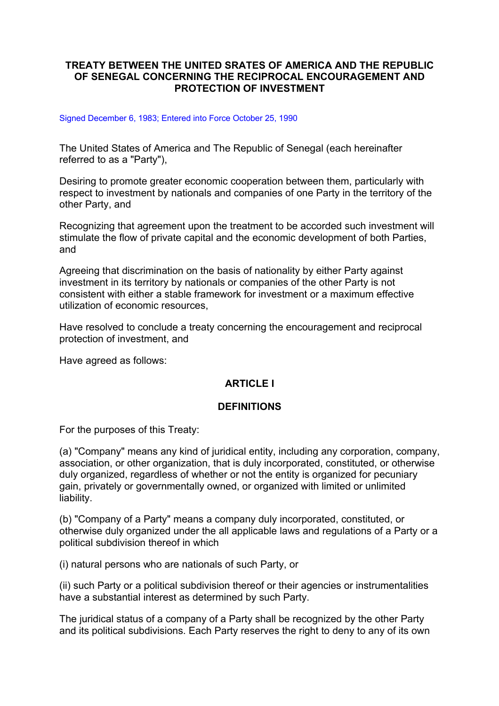### **TREATY BETWEEN THE UNITED SRATES OF AMERICA AND THE REPUBLIC OF SENEGAL CONCERNING THE RECIPROCAL ENCOURAGEMENT AND PROTECTION OF INVESTMENT**

#### Signed December 6, 1983; Entered into Force October 25, 1990

The United States of America and The Republic of Senegal (each hereinafter referred to as a "Party"),

Desiring to promote greater economic cooperation between them, particularly with respect to investment by nationals and companies of one Party in the territory of the other Party, and

Recognizing that agreement upon the treatment to be accorded such investment will stimulate the flow of private capital and the economic development of both Parties, and

Agreeing that discrimination on the basis of nationality by either Party against investment in its territory by nationals or companies of the other Party is not consistent with either a stable framework for investment or a maximum effective utilization of economic resources,

Have resolved to conclude a treaty concerning the encouragement and reciprocal protection of investment, and

Have agreed as follows:

### **ARTICLE I**

#### **DEFINITIONS**

For the purposes of this Treaty:

(a) "Company" means any kind of juridical entity, including any corporation, company, association, or other organization, that is duly incorporated, constituted, or otherwise duly organized, regardless of whether or not the entity is organized for pecuniary gain, privately or governmentally owned, or organized with limited or unlimited liability.

(b) "Company of a Party" means a company duly incorporated, constituted, or otherwise duly organized under the all applicable laws and regulations of a Party or a political subdivision thereof in which

(i) natural persons who are nationals of such Party, or

(ii) such Party or a political subdivision thereof or their agencies or instrumentalities have a substantial interest as determined by such Party.

The juridical status of a company of a Party shall be recognized by the other Party and its political subdivisions. Each Party reserves the right to deny to any of its own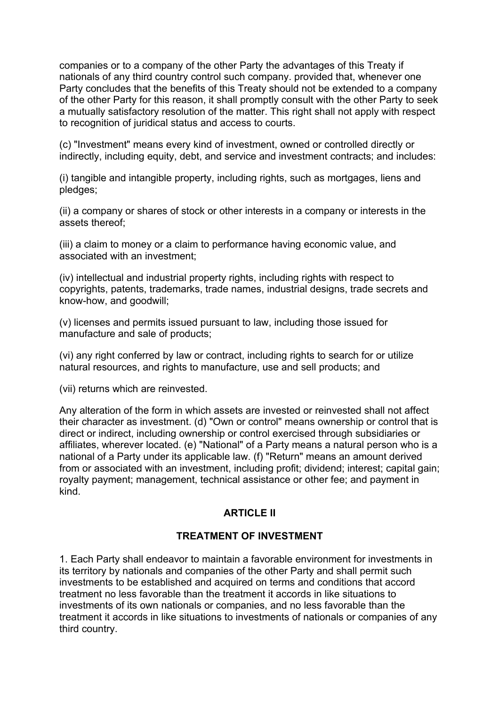companies or to a company of the other Party the advantages of this Treaty if nationals of any third country control such company. provided that, whenever one Party concludes that the benefits of this Treaty should not be extended to a company of the other Party for this reason, it shall promptly consult with the other Party to seek a mutually satisfactory resolution of the matter. This right shall not apply with respect to recognition of juridical status and access to courts.

(c) "Investment" means every kind of investment, owned or controlled directly or indirectly, including equity, debt, and service and investment contracts; and includes:

(i) tangible and intangible property, including rights, such as mortgages, liens and pledges;

(ii) a company or shares of stock or other interests in a company or interests in the assets thereof;

(iii) a claim to money or a claim to performance having economic value, and associated with an investment;

(iv) intellectual and industrial property rights, including rights with respect to copyrights, patents, trademarks, trade names, industrial designs, trade secrets and know-how, and goodwill;

(v) licenses and permits issued pursuant to law, including those issued for manufacture and sale of products;

(vi) any right conferred by law or contract, including rights to search for or utilize natural resources, and rights to manufacture, use and sell products; and

(vii) returns which are reinvested.

Any alteration of the form in which assets are invested or reinvested shall not affect their character as investment. (d) "Own or control" means ownership or control that is direct or indirect, including ownership or control exercised through subsidiaries or affiliates, wherever located. (e) "National" of a Party means a natural person who is a national of a Party under its applicable law. (f) "Return" means an amount derived from or associated with an investment, including profit; dividend; interest; capital gain; royalty payment; management, technical assistance or other fee; and payment in kind.

#### **ARTICLE II**

#### **TREATMENT OF INVESTMENT**

1. Each Party shall endeavor to maintain a favorable environment for investments in its territory by nationals and companies of the other Party and shall permit such investments to be established and acquired on terms and conditions that accord treatment no less favorable than the treatment it accords in like situations to investments of its own nationals or companies, and no less favorable than the treatment it accords in like situations to investments of nationals or companies of any third country.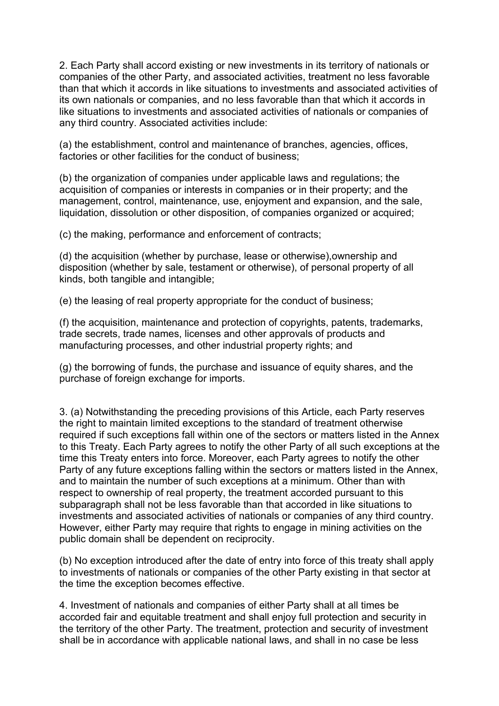2. Each Party shall accord existing or new investments in its territory of nationals or companies of the other Party, and associated activities, treatment no less favorable than that which it accords in like situations to investments and associated activities of its own nationals or companies, and no less favorable than that which it accords in like situations to investments and associated activities of nationals or companies of any third country. Associated activities include:

(a) the establishment, control and maintenance of branches, agencies, offices, factories or other facilities for the conduct of business;

(b) the organization of companies under applicable laws and regulations; the acquisition of companies or interests in companies or in their property; and the management, control, maintenance, use, enjoyment and expansion, and the sale, liquidation, dissolution or other disposition, of companies organized or acquired;

(c) the making, performance and enforcement of contracts;

(d) the acquisition (whether by purchase, lease or otherwise),ownership and disposition (whether by sale, testament or otherwise), of personal property of all kinds, both tangible and intangible;

(e) the leasing of real property appropriate for the conduct of business;

(f) the acquisition, maintenance and protection of copyrights, patents, trademarks, trade secrets, trade names, licenses and other approvals of products and manufacturing processes, and other industrial property rights; and

(g) the borrowing of funds, the purchase and issuance of equity shares, and the purchase of foreign exchange for imports.

3. (a) Notwithstanding the preceding provisions of this Article, each Party reserves the right to maintain limited exceptions to the standard of treatment otherwise required if such exceptions fall within one of the sectors or matters listed in the Annex to this Treaty. Each Party agrees to notify the other Party of all such exceptions at the time this Treaty enters into force. Moreover, each Party agrees to notify the other Party of any future exceptions falling within the sectors or matters listed in the Annex, and to maintain the number of such exceptions at a minimum. Other than with respect to ownership of real property, the treatment accorded pursuant to this subparagraph shall not be less favorable than that accorded in like situations to investments and associated activities of nationals or companies of any third country. However, either Party may require that rights to engage in mining activities on the public domain shall be dependent on reciprocity.

(b) No exception introduced after the date of entry into force of this treaty shall apply to investments of nationals or companies of the other Party existing in that sector at the time the exception becomes effective.

4. Investment of nationals and companies of either Party shall at all times be accorded fair and equitable treatment and shall enjoy full protection and security in the territory of the other Party. The treatment, protection and security of investment shall be in accordance with applicable national laws, and shall in no case be less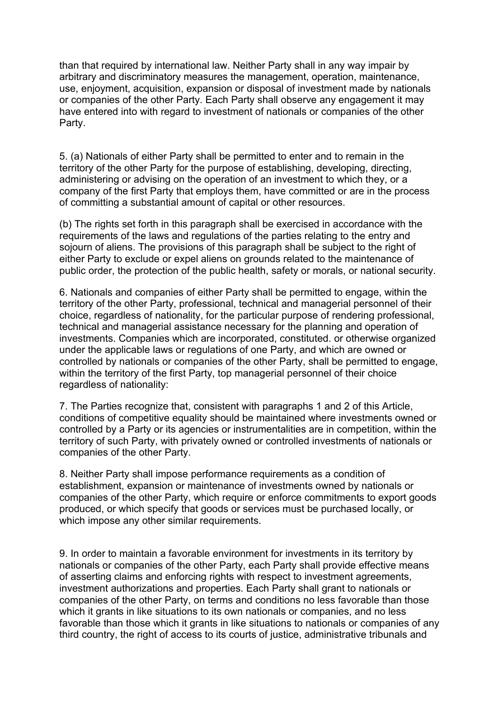than that required by international law. Neither Party shall in any way impair by arbitrary and discriminatory measures the management, operation, maintenance, use, enjoyment, acquisition, expansion or disposal of investment made by nationals or companies of the other Party. Each Party shall observe any engagement it may have entered into with regard to investment of nationals or companies of the other Party.

5. (a) Nationals of either Party shall be permitted to enter and to remain in the territory of the other Party for the purpose of establishing, developing, directing, administering or advising on the operation of an investment to which they, or a company of the first Party that employs them, have committed or are in the process of committing a substantial amount of capital or other resources.

(b) The rights set forth in this paragraph shall be exercised in accordance with the requirements of the laws and regulations of the parties relating to the entry and sojourn of aliens. The provisions of this paragraph shall be subject to the right of either Party to exclude or expel aliens on grounds related to the maintenance of public order, the protection of the public health, safety or morals, or national security.

6. Nationals and companies of either Party shall be permitted to engage, within the territory of the other Party, professional, technical and managerial personnel of their choice, regardless of nationality, for the particular purpose of rendering professional, technical and managerial assistance necessary for the planning and operation of investments. Companies which are incorporated, constituted. or otherwise organized under the applicable laws or regulations of one Party, and which are owned or controlled by nationals or companies of the other Party, shall be permitted to engage, within the territory of the first Party, top managerial personnel of their choice regardless of nationality:

7. The Parties recognize that, consistent with paragraphs 1 and 2 of this Article, conditions of competitive equality should be maintained where investments owned or controlled by a Party or its agencies or instrumentalities are in competition, within the territory of such Party, with privately owned or controlled investments of nationals or companies of the other Party.

8. Neither Party shall impose performance requirements as a condition of establishment, expansion or maintenance of investments owned by nationals or companies of the other Party, which require or enforce commitments to export goods produced, or which specify that goods or services must be purchased locally, or which impose any other similar requirements.

9. In order to maintain a favorable environment for investments in its territory by nationals or companies of the other Party, each Party shall provide effective means of asserting claims and enforcing rights with respect to investment agreements, investment authorizations and properties. Each Party shall grant to nationals or companies of the other Party, on terms and conditions no less favorable than those which it grants in like situations to its own nationals or companies, and no less favorable than those which it grants in like situations to nationals or companies of any third country, the right of access to its courts of justice, administrative tribunals and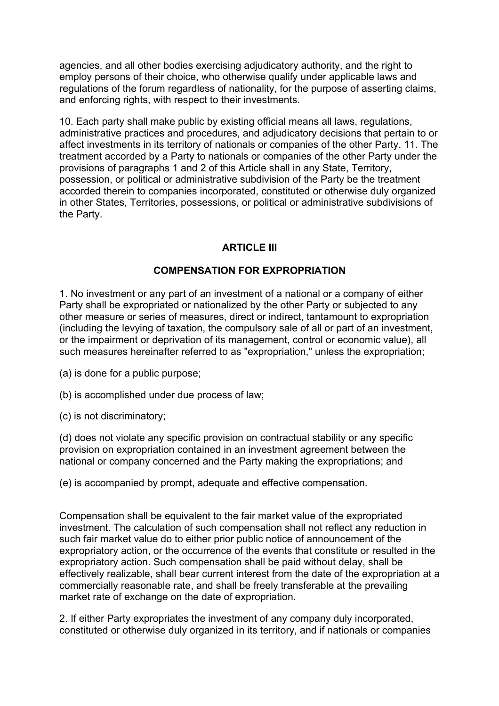agencies, and all other bodies exercising adjudicatory authority, and the right to employ persons of their choice, who otherwise qualify under applicable laws and regulations of the forum regardless of nationality, for the purpose of asserting claims, and enforcing rights, with respect to their investments.

10. Each party shall make public by existing official means all laws, regulations, administrative practices and procedures, and adjudicatory decisions that pertain to or affect investments in its territory of nationals or companies of the other Party. 11. The treatment accorded by a Party to nationals or companies of the other Party under the provisions of paragraphs 1 and 2 of this Article shall in any State, Territory, possession, or political or administrative subdivision of the Party be the treatment accorded therein to companies incorporated, constituted or otherwise duly organized in other States, Territories, possessions, or political or administrative subdivisions of the Party.

### **ARTICLE III**

#### **COMPENSATION FOR EXPROPRIATION**

1. No investment or any part of an investment of a national or a company of either Party shall be expropriated or nationalized by the other Party or subjected to any other measure or series of measures, direct or indirect, tantamount to expropriation (including the levying of taxation, the compulsory sale of all or part of an investment, or the impairment or deprivation of its management, control or economic value), all such measures hereinafter referred to as "expropriation," unless the expropriation;

- (a) is done for a public purpose;
- (b) is accomplished under due process of law;
- (c) is not discriminatory;

(d) does not violate any specific provision on contractual stability or any specific provision on expropriation contained in an investment agreement between the national or company concerned and the Party making the expropriations; and

(e) is accompanied by prompt, adequate and effective compensation.

Compensation shall be equivalent to the fair market value of the expropriated investment. The calculation of such compensation shall not reflect any reduction in such fair market value do to either prior public notice of announcement of the expropriatory action, or the occurrence of the events that constitute or resulted in the expropriatory action. Such compensation shall be paid without delay, shall be effectively realizable, shall bear current interest from the date of the expropriation at a commercially reasonable rate, and shall be freely transferable at the prevailing market rate of exchange on the date of expropriation.

2. If either Party expropriates the investment of any company duly incorporated, constituted or otherwise duly organized in its territory, and if nationals or companies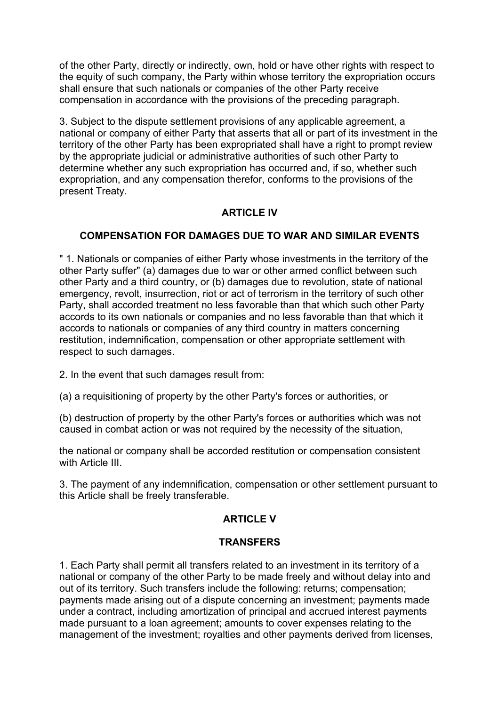of the other Party, directly or indirectly, own, hold or have other rights with respect to the equity of such company, the Party within whose territory the expropriation occurs shall ensure that such nationals or companies of the other Party receive compensation in accordance with the provisions of the preceding paragraph.

3. Subject to the dispute settlement provisions of any applicable agreement, a national or company of either Party that asserts that all or part of its investment in the territory of the other Party has been expropriated shall have a right to prompt review by the appropriate judicial or administrative authorities of such other Party to determine whether any such expropriation has occurred and, if so, whether such expropriation, and any compensation therefor, conforms to the provisions of the present Treaty.

## **ARTICLE IV**

### **COMPENSATION FOR DAMAGES DUE TO WAR AND SIMILAR EVENTS**

" 1. Nationals or companies of either Party whose investments in the territory of the other Party suffer" (a) damages due to war or other armed conflict between such other Party and a third country, or (b) damages due to revolution, state of national emergency, revolt, insurrection, riot or act of terrorism in the territory of such other Party, shall accorded treatment no less favorable than that which such other Party accords to its own nationals or companies and no less favorable than that which it accords to nationals or companies of any third country in matters concerning restitution, indemnification, compensation or other appropriate settlement with respect to such damages.

2. In the event that such damages result from:

(a) a requisitioning of property by the other Party's forces or authorities, or

(b) destruction of property by the other Party's forces or authorities which was not caused in combat action or was not required by the necessity of the situation,

the national or company shall be accorded restitution or compensation consistent with Article III.

3. The payment of any indemnification, compensation or other settlement pursuant to this Article shall be freely transferable.

### **ARTICLE V**

#### **TRANSFERS**

1. Each Party shall permit all transfers related to an investment in its territory of a national or company of the other Party to be made freely and without delay into and out of its territory. Such transfers include the following: returns; compensation; payments made arising out of a dispute concerning an investment; payments made under a contract, including amortization of principal and accrued interest payments made pursuant to a loan agreement; amounts to cover expenses relating to the management of the investment; royalties and other payments derived from licenses,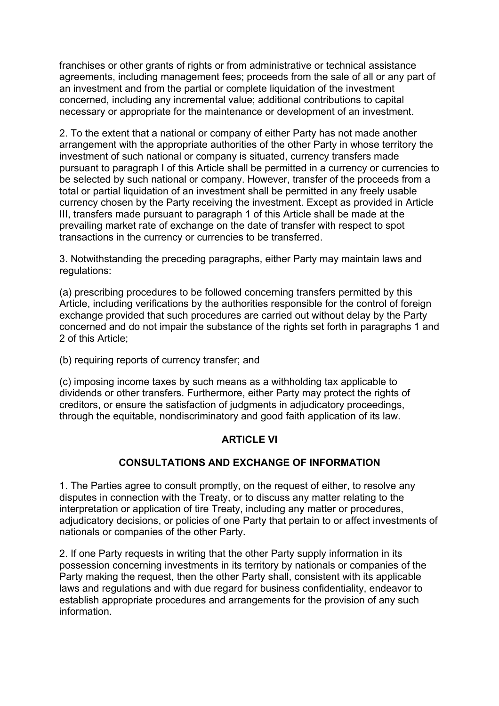franchises or other grants of rights or from administrative or technical assistance agreements, including management fees; proceeds from the sale of all or any part of an investment and from the partial or complete liquidation of the investment concerned, including any incremental value; additional contributions to capital necessary or appropriate for the maintenance or development of an investment.

2. To the extent that a national or company of either Party has not made another arrangement with the appropriate authorities of the other Party in whose territory the investment of such national or company is situated, currency transfers made pursuant to paragraph I of this Article shall be permitted in a currency or currencies to be selected by such national or company. However, transfer of the proceeds from a total or partial liquidation of an investment shall be permitted in any freely usable currency chosen by the Party receiving the investment. Except as provided in Article III, transfers made pursuant to paragraph 1 of this Article shall be made at the prevailing market rate of exchange on the date of transfer with respect to spot transactions in the currency or currencies to be transferred.

3. Notwithstanding the preceding paragraphs, either Party may maintain laws and regulations:

(a) prescribing procedures to be followed concerning transfers permitted by this Article, including verifications by the authorities responsible for the control of foreign exchange provided that such procedures are carried out without delay by the Party concerned and do not impair the substance of the rights set forth in paragraphs 1 and 2 of this Article;

(b) requiring reports of currency transfer; and

(c) imposing income taxes by such means as a withholding tax applicable to dividends or other transfers. Furthermore, either Party may protect the rights of creditors, or ensure the satisfaction of judgments in adjudicatory proceedings, through the equitable, nondiscriminatory and good faith application of its law.

### **ARTICLE VI**

### **CONSULTATIONS AND EXCHANGE OF INFORMATION**

1. The Parties agree to consult promptly, on the request of either, to resolve any disputes in connection with the Treaty, or to discuss any matter relating to the interpretation or application of tire Treaty, including any matter or procedures, adjudicatory decisions, or policies of one Party that pertain to or affect investments of nationals or companies of the other Party.

2. If one Party requests in writing that the other Party supply information in its possession concerning investments in its territory by nationals or companies of the Party making the request, then the other Party shall, consistent with its applicable laws and regulations and with due regard for business confidentiality, endeavor to establish appropriate procedures and arrangements for the provision of any such information.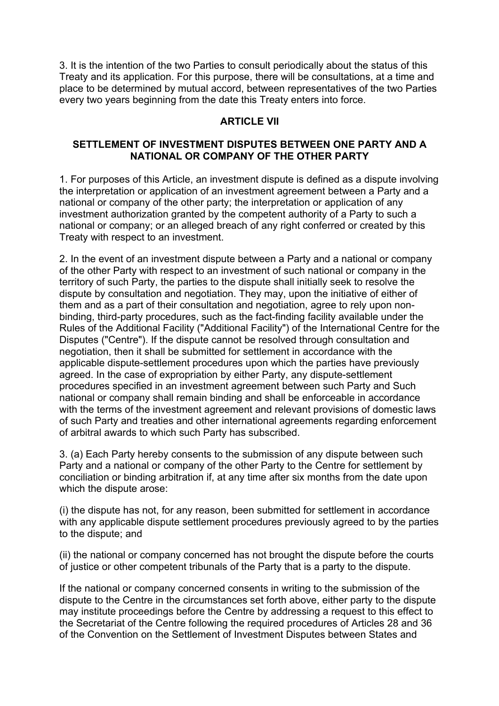3. It is the intention of the two Parties to consult periodically about the status of this Treaty and its application. For this purpose, there will be consultations, at a time and place to be determined by mutual accord, between representatives of the two Parties every two years beginning from the date this Treaty enters into force.

### **ARTICLE VII**

### **SETTLEMENT OF INVESTMENT DISPUTES BETWEEN ONE PARTY AND A NATIONAL OR COMPANY OF THE OTHER PARTY**

1. For purposes of this Article, an investment dispute is defined as a dispute involving the interpretation or application of an investment agreement between a Party and a national or company of the other party; the interpretation or application of any investment authorization granted by the competent authority of a Party to such a national or company; or an alleged breach of any right conferred or created by this Treaty with respect to an investment.

2. In the event of an investment dispute between a Party and a national or company of the other Party with respect to an investment of such national or company in the territory of such Party, the parties to the dispute shall initially seek to resolve the dispute by consultation and negotiation. They may, upon the initiative of either of them and as a part of their consultation and negotiation, agree to rely upon nonbinding, third-party procedures, such as the fact-finding facility available under the Rules of the Additional Facility ("Additional Facility") of the International Centre for the Disputes ("Centre"). If the dispute cannot be resolved through consultation and negotiation, then it shall be submitted for settlement in accordance with the applicable dispute-settlement procedures upon which the parties have previously agreed. In the case of expropriation by either Party, any dispute-settlement procedures specified in an investment agreement between such Party and Such national or company shall remain binding and shall be enforceable in accordance with the terms of the investment agreement and relevant provisions of domestic laws of such Party and treaties and other international agreements regarding enforcement of arbitral awards to which such Party has subscribed.

3. (a) Each Party hereby consents to the submission of any dispute between such Party and a national or company of the other Party to the Centre for settlement by conciliation or binding arbitration if, at any time after six months from the date upon which the dispute arose:

(i) the dispute has not, for any reason, been submitted for settlement in accordance with any applicable dispute settlement procedures previously agreed to by the parties to the dispute; and

(ii) the national or company concerned has not brought the dispute before the courts of justice or other competent tribunals of the Party that is a party to the dispute.

If the national or company concerned consents in writing to the submission of the dispute to the Centre in the circumstances set forth above, either party to the dispute may institute proceedings before the Centre by addressing a request to this effect to the Secretariat of the Centre following the required procedures of Articles 28 and 36 of the Convention on the Settlement of Investment Disputes between States and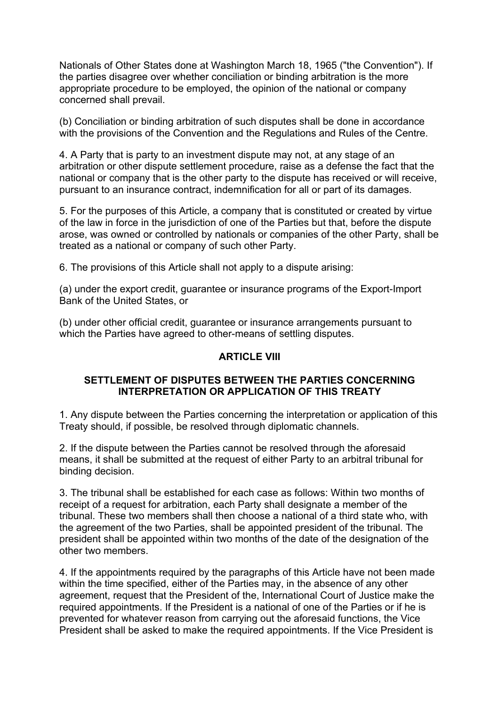Nationals of Other States done at Washington March 18, 1965 ("the Convention"). If the parties disagree over whether conciliation or binding arbitration is the more appropriate procedure to be employed, the opinion of the national or company concerned shall prevail.

(b) Conciliation or binding arbitration of such disputes shall be done in accordance with the provisions of the Convention and the Regulations and Rules of the Centre.

4. A Party that is party to an investment dispute may not, at any stage of an arbitration or other dispute settlement procedure, raise as a defense the fact that the national or company that is the other party to the dispute has received or will receive, pursuant to an insurance contract, indemnification for all or part of its damages.

5. For the purposes of this Article, a company that is constituted or created by virtue of the law in force in the jurisdiction of one of the Parties but that, before the dispute arose, was owned or controlled by nationals or companies of the other Party, shall be treated as a national or company of such other Party.

6. The provisions of this Article shall not apply to a dispute arising:

(a) under the export credit, guarantee or insurance programs of the Export-Import Bank of the United States, or

(b) under other official credit, guarantee or insurance arrangements pursuant to which the Parties have agreed to other-means of settling disputes.

### **ARTICLE VIII**

#### **SETTLEMENT OF DISPUTES BETWEEN THE PARTIES CONCERNING INTERPRETATION OR APPLICATION OF THIS TREATY**

1. Any dispute between the Parties concerning the interpretation or application of this Treaty should, if possible, be resolved through diplomatic channels.

2. If the dispute between the Parties cannot be resolved through the aforesaid means, it shall be submitted at the request of either Party to an arbitral tribunal for binding decision.

3. The tribunal shall be established for each case as follows: Within two months of receipt of a request for arbitration, each Party shall designate a member of the tribunal. These two members shall then choose a national of a third state who, with the agreement of the two Parties, shall be appointed president of the tribunal. The president shall be appointed within two months of the date of the designation of the other two members.

4. If the appointments required by the paragraphs of this Article have not been made within the time specified, either of the Parties may, in the absence of any other agreement, request that the President of the, International Court of Justice make the required appointments. If the President is a national of one of the Parties or if he is prevented for whatever reason from carrying out the aforesaid functions, the Vice President shall be asked to make the required appointments. If the Vice President is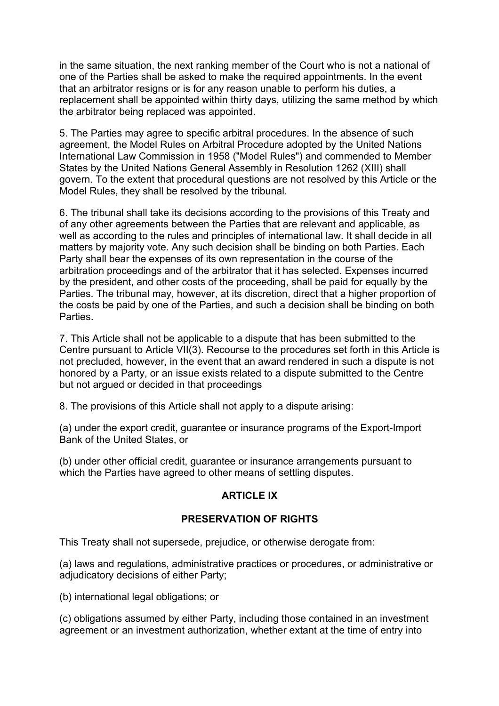in the same situation, the next ranking member of the Court who is not a national of one of the Parties shall be asked to make the required appointments. In the event that an arbitrator resigns or is for any reason unable to perform his duties, a replacement shall be appointed within thirty days, utilizing the same method by which the arbitrator being replaced was appointed.

5. The Parties may agree to specific arbitral procedures. In the absence of such agreement, the Model Rules on Arbitral Procedure adopted by the United Nations International Law Commission in 1958 ("Model Rules") and commended to Member States by the United Nations General Assembly in Resolution 1262 (XIII) shall govern. To the extent that procedural questions are not resolved by this Article or the Model Rules, they shall be resolved by the tribunal.

6. The tribunal shall take its decisions according to the provisions of this Treaty and of any other agreements between the Parties that are relevant and applicable, as well as according to the rules and principles of international law. It shall decide in all matters by majority vote. Any such decision shall be binding on both Parties. Each Party shall bear the expenses of its own representation in the course of the arbitration proceedings and of the arbitrator that it has selected. Expenses incurred by the president, and other costs of the proceeding, shall be paid for equally by the Parties. The tribunal may, however, at its discretion, direct that a higher proportion of the costs be paid by one of the Parties, and such a decision shall be binding on both Parties.

7. This Article shall not be applicable to a dispute that has been submitted to the Centre pursuant to Article VII(3). Recourse to the procedures set forth in this Article is not precluded, however, in the event that an award rendered in such a dispute is not honored by a Party, or an issue exists related to a dispute submitted to the Centre but not argued or decided in that proceedings

8. The provisions of this Article shall not apply to a dispute arising:

(a) under the export credit, guarantee or insurance programs of the Export-Import Bank of the United States, or

(b) under other official credit, guarantee or insurance arrangements pursuant to which the Parties have agreed to other means of settling disputes.

#### **ARTICLE IX**

#### **PRESERVATION OF RIGHTS**

This Treaty shall not supersede, prejudice, or otherwise derogate from:

(a) laws and regulations, administrative practices or procedures, or administrative or adjudicatory decisions of either Party;

(b) international legal obligations; or

(c) obligations assumed by either Party, including those contained in an investment agreement or an investment authorization, whether extant at the time of entry into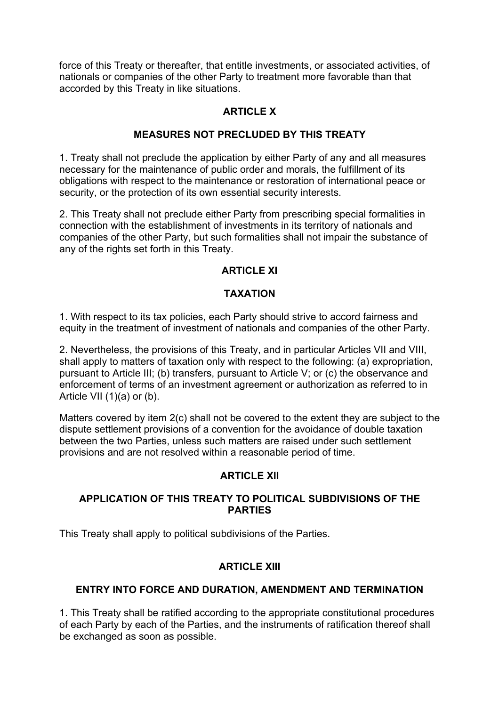force of this Treaty or thereafter, that entitle investments, or associated activities, of nationals or companies of the other Party to treatment more favorable than that accorded by this Treaty in like situations.

### **ARTICLE X**

### **MEASURES NOT PRECLUDED BY THIS TREATY**

1. Treaty shall not preclude the application by either Party of any and all measures necessary for the maintenance of public order and morals, the fulfillment of its obligations with respect to the maintenance or restoration of international peace or security, or the protection of its own essential security interests.

2. This Treaty shall not preclude either Party from prescribing special formalities in connection with the establishment of investments in its territory of nationals and companies of the other Party, but such formalities shall not impair the substance of any of the rights set forth in this Treaty.

### **ARTICLE XI**

### **TAXATION**

1. With respect to its tax policies, each Party should strive to accord fairness and equity in the treatment of investment of nationals and companies of the other Party.

2. Nevertheless, the provisions of this Treaty, and in particular Articles VII and VIII, shall apply to matters of taxation only with respect to the following: (a) expropriation, pursuant to Article III; (b) transfers, pursuant to Article V; or (c) the observance and enforcement of terms of an investment agreement or authorization as referred to in Article VII (1)(a) or (b).

Matters covered by item 2(c) shall not be covered to the extent they are subject to the dispute settlement provisions of a convention for the avoidance of double taxation between the two Parties, unless such matters are raised under such settlement provisions and are not resolved within a reasonable period of time.

#### **ARTICI F XII**

### **APPLICATION OF THIS TREATY TO POLITICAL SUBDIVISIONS OF THE PARTIES**

This Treaty shall apply to political subdivisions of the Parties.

#### **ARTICLE XIII**

#### **ENTRY INTO FORCE AND DURATION, AMENDMENT AND TERMINATION**

1. This Treaty shall be ratified according to the appropriate constitutional procedures of each Party by each of the Parties, and the instruments of ratification thereof shall be exchanged as soon as possible.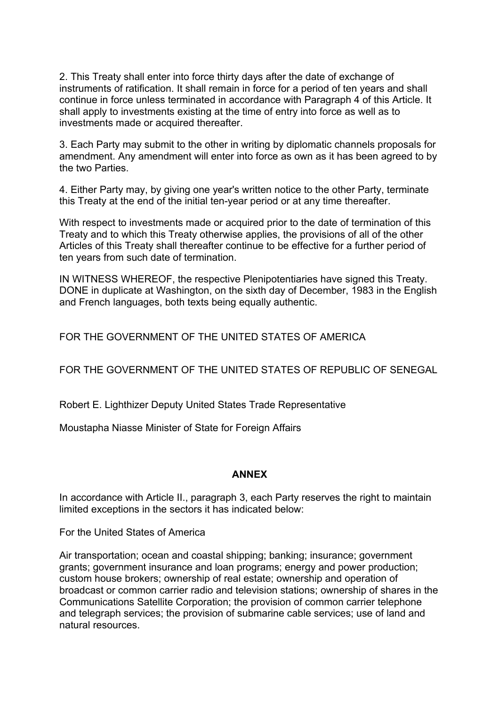2. This Treaty shall enter into force thirty days after the date of exchange of instruments of ratification. It shall remain in force for a period of ten years and shall continue in force unless terminated in accordance with Paragraph 4 of this Article. It shall apply to investments existing at the time of entry into force as well as to investments made or acquired thereafter.

3. Each Party may submit to the other in writing by diplomatic channels proposals for amendment. Any amendment will enter into force as own as it has been agreed to by the two Parties.

4. Either Party may, by giving one year's written notice to the other Party, terminate this Treaty at the end of the initial ten-year period or at any time thereafter.

With respect to investments made or acquired prior to the date of termination of this Treaty and to which this Treaty otherwise applies, the provisions of all of the other Articles of this Treaty shall thereafter continue to be effective for a further period of ten years from such date of termination.

IN WITNESS WHEREOF, the respective Plenipotentiaries have signed this Treaty. DONE in duplicate at Washington, on the sixth day of December, 1983 in the English and French languages, both texts being equally authentic.

FOR THE GOVERNMENT OF THE UNITED STATES OF AMERICA

FOR THE GOVERNMENT OF THE UNITED STATES OF REPUBLIC OF SENEGAL

Robert E. Lighthizer Deputy United States Trade Representative

Moustapha Niasse Minister of State for Foreign Affairs

### **ANNEX**

In accordance with Article II., paragraph 3, each Party reserves the right to maintain limited exceptions in the sectors it has indicated below:

For the United States of America

Air transportation; ocean and coastal shipping; banking; insurance; government grants; government insurance and loan programs; energy and power production; custom house brokers; ownership of real estate; ownership and operation of broadcast or common carrier radio and television stations; ownership of shares in the Communications Satellite Corporation; the provision of common carrier telephone and telegraph services; the provision of submarine cable services; use of land and natural resources.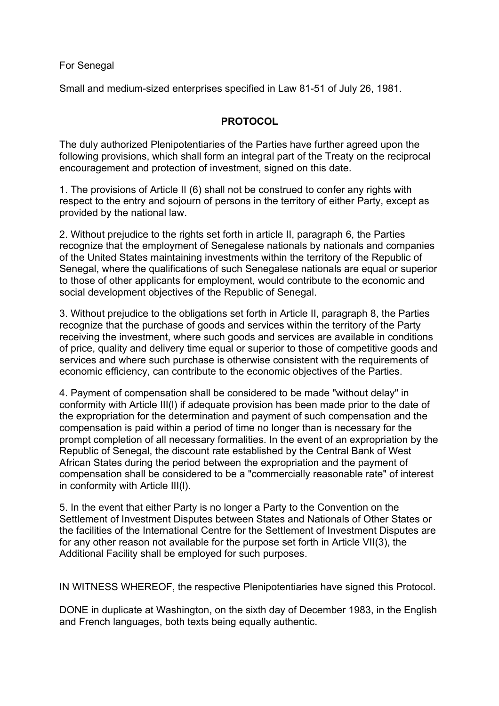#### For Senegal

Small and medium-sized enterprises specified in Law 81-51 of July 26, 1981.

#### **PROTOCOL**

The duly authorized Plenipotentiaries of the Parties have further agreed upon the following provisions, which shall form an integral part of the Treaty on the reciprocal encouragement and protection of investment, signed on this date.

1. The provisions of Article II (6) shall not be construed to confer any rights with respect to the entry and sojourn of persons in the territory of either Party, except as provided by the national law.

2. Without prejudice to the rights set forth in article II, paragraph 6, the Parties recognize that the employment of Senegalese nationals by nationals and companies of the United States maintaining investments within the territory of the Republic of Senegal, where the qualifications of such Senegalese nationals are equal or superior to those of other applicants for employment, would contribute to the economic and social development objectives of the Republic of Senegal.

3. Without prejudice to the obligations set forth in Article II, paragraph 8, the Parties recognize that the purchase of goods and services within the territory of the Party receiving the investment, where such goods and services are available in conditions of price, quality and delivery time equal or superior to those of competitive goods and services and where such purchase is otherwise consistent with the requirements of economic efficiency, can contribute to the economic objectives of the Parties.

4. Payment of compensation shall be considered to be made "without delay" in conformity with Article III(l) if adequate provision has been made prior to the date of the expropriation for the determination and payment of such compensation and the compensation is paid within a period of time no longer than is necessary for the prompt completion of all necessary formalities. In the event of an expropriation by the Republic of Senegal, the discount rate established by the Central Bank of West African States during the period between the expropriation and the payment of compensation shall be considered to be a "commercially reasonable rate" of interest in conformity with Article III(l).

5. In the event that either Party is no longer a Party to the Convention on the Settlement of Investment Disputes between States and Nationals of Other States or the facilities of the International Centre for the Settlement of Investment Disputes are for any other reason not available for the purpose set forth in Article VII(3), the Additional Facility shall be employed for such purposes.

IN WITNESS WHEREOF, the respective Plenipotentiaries have signed this Protocol.

DONE in duplicate at Washington, on the sixth day of December 1983, in the English and French languages, both texts being equally authentic.